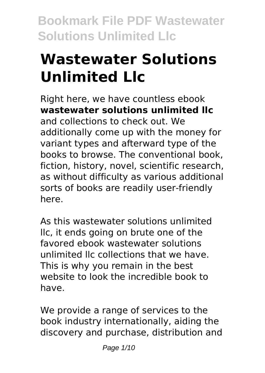# **Wastewater Solutions Unlimited Llc**

Right here, we have countless ebook **wastewater solutions unlimited llc** and collections to check out. We additionally come up with the money for variant types and afterward type of the books to browse. The conventional book, fiction, history, novel, scientific research, as without difficulty as various additional sorts of books are readily user-friendly here.

As this wastewater solutions unlimited llc, it ends going on brute one of the favored ebook wastewater solutions unlimited llc collections that we have. This is why you remain in the best website to look the incredible book to have.

We provide a range of services to the book industry internationally, aiding the discovery and purchase, distribution and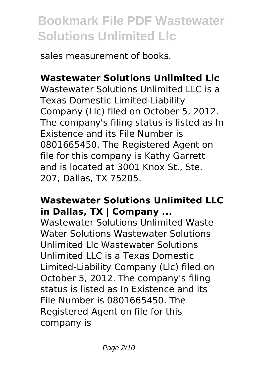sales measurement of books.

# **Wastewater Solutions Unlimited Llc**

Wastewater Solutions Unlimited LLC is a Texas Domestic Limited-Liability Company (Llc) filed on October 5, 2012. The company's filing status is listed as In Existence and its File Number is 0801665450. The Registered Agent on file for this company is Kathy Garrett and is located at 3001 Knox St., Ste. 207, Dallas, TX 75205.

#### **Wastewater Solutions Unlimited LLC in Dallas, TX | Company ...**

Wastewater Solutions Unlimited Waste Water Solutions Wastewater Solutions Unlimited Llc Wastewater Solutions Unlimited LLC is a Texas Domestic Limited-Liability Company (Llc) filed on October 5, 2012. The company's filing status is listed as In Existence and its File Number is 0801665450. The Registered Agent on file for this company is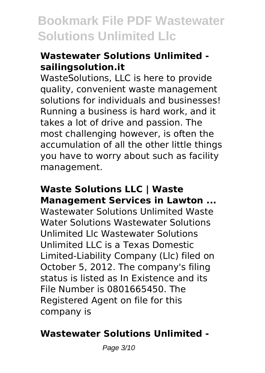## **Wastewater Solutions Unlimited sailingsolution.it**

WasteSolutions, LLC is here to provide quality, convenient waste management solutions for individuals and businesses! Running a business is hard work, and it takes a lot of drive and passion. The most challenging however, is often the accumulation of all the other little things you have to worry about such as facility management.

#### **Waste Solutions LLC | Waste Management Services in Lawton ...**

Wastewater Solutions Unlimited Waste Water Solutions Wastewater Solutions Unlimited Llc Wastewater Solutions Unlimited LLC is a Texas Domestic Limited-Liability Company (Llc) filed on October 5, 2012. The company's filing status is listed as In Existence and its File Number is 0801665450. The Registered Agent on file for this company is

# **Wastewater Solutions Unlimited -**

Page 3/10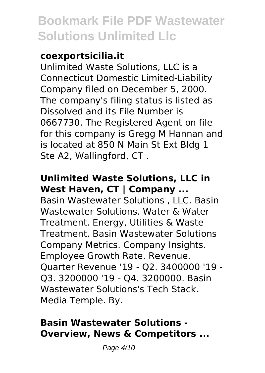#### **coexportsicilia.it**

Unlimited Waste Solutions, LLC is a Connecticut Domestic Limited-Liability Company filed on December 5, 2000. The company's filing status is listed as Dissolved and its File Number is 0667730. The Registered Agent on file for this company is Gregg M Hannan and is located at 850 N Main St Ext Bldg 1 Ste A2, Wallingford, CT .

## **Unlimited Waste Solutions, LLC in West Haven, CT | Company ...**

Basin Wastewater Solutions , LLC. Basin Wastewater Solutions. Water & Water Treatment. Energy, Utilities & Waste Treatment. Basin Wastewater Solutions Company Metrics. Company Insights. Employee Growth Rate. Revenue. Quarter Revenue '19 - Q2. 3400000 '19 - Q3. 3200000 '19 - Q4. 3200000. Basin Wastewater Solutions's Tech Stack. Media Temple. By.

### **Basin Wastewater Solutions - Overview, News & Competitors ...**

Page 4/10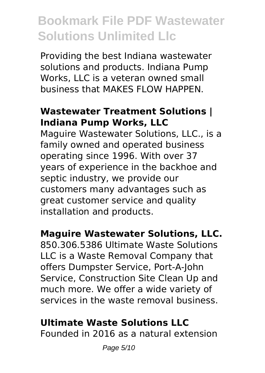Providing the best Indiana wastewater solutions and products. Indiana Pump Works, LLC is a veteran owned small business that MAKES FLOW HAPPEN.

#### **Wastewater Treatment Solutions | Indiana Pump Works, LLC**

Maguire Wastewater Solutions, LLC., is a family owned and operated business operating since 1996. With over 37 years of experience in the backhoe and septic industry, we provide our customers many advantages such as great customer service and quality installation and products.

# **Maguire Wastewater Solutions, LLC.**

850.306.5386 Ultimate Waste Solutions LLC is a Waste Removal Company that offers Dumpster Service, Port-A-John Service, Construction Site Clean Up and much more. We offer a wide variety of services in the waste removal business.

# **Ultimate Waste Solutions LLC**

Founded in 2016 as a natural extension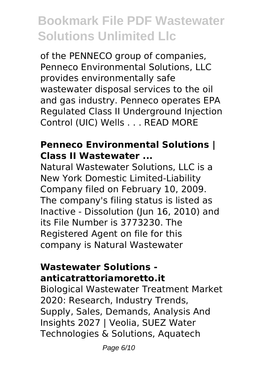of the PENNECO group of companies, Penneco Environmental Solutions, LLC provides environmentally safe wastewater disposal services to the oil and gas industry. Penneco operates EPA Regulated Class II Underground Injection Control (UIC) Wells . . . READ MORE

#### **Penneco Environmental Solutions | Class II Wastewater ...**

Natural Wastewater Solutions, LLC is a New York Domestic Limited-Liability Company filed on February 10, 2009. The company's filing status is listed as Inactive - Dissolution (Jun 16, 2010) and its File Number is 3773230. The Registered Agent on file for this company is Natural Wastewater

#### **Wastewater Solutions anticatrattoriamoretto.it**

Biological Wastewater Treatment Market 2020: Research, Industry Trends, Supply, Sales, Demands, Analysis And Insights 2027 | Veolia, SUEZ Water Technologies & Solutions, Aquatech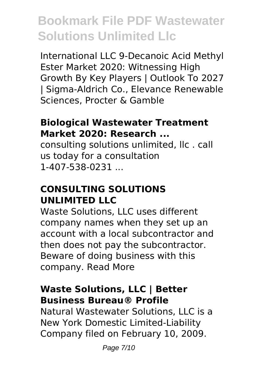International LLC 9-Decanoic Acid Methyl Ester Market 2020: Witnessing High Growth By Key Players | Outlook To 2027 | Sigma-Aldrich Co., Elevance Renewable Sciences, Procter & Gamble

#### **Biological Wastewater Treatment Market 2020: Research ...**

consulting solutions unlimited, llc . call us today for a consultation 1-407-538-0231

#### **CONSULTING SOLUTIONS UNLIMITED LLC**

Waste Solutions, LLC uses different company names when they set up an account with a local subcontractor and then does not pay the subcontractor. Beware of doing business with this company. Read More

### **Waste Solutions, LLC | Better Business Bureau® Profile**

Natural Wastewater Solutions, LLC is a New York Domestic Limited-Liability Company filed on February 10, 2009.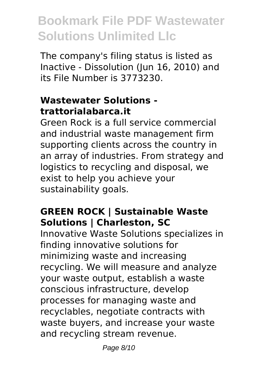The company's filing status is listed as Inactive - Dissolution (Jun 16, 2010) and its File Number is 3773230.

### **Wastewater Solutions trattorialabarca.it**

Green Rock is a full service commercial and industrial waste management firm supporting clients across the country in an array of industries. From strategy and logistics to recycling and disposal, we exist to help you achieve your sustainability goals.

# **GREEN ROCK | Sustainable Waste Solutions | Charleston, SC**

Innovative Waste Solutions specializes in finding innovative solutions for minimizing waste and increasing recycling. We will measure and analyze your waste output, establish a waste conscious infrastructure, develop processes for managing waste and recyclables, negotiate contracts with waste buyers, and increase your waste and recycling stream revenue.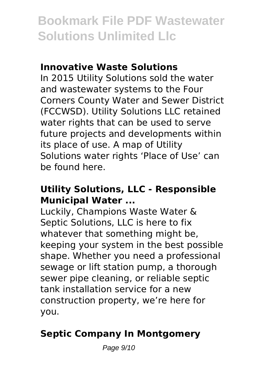#### **Innovative Waste Solutions**

In 2015 Utility Solutions sold the water and wastewater systems to the Four Corners County Water and Sewer District (FCCWSD). Utility Solutions LLC retained water rights that can be used to serve future projects and developments within its place of use. A map of Utility Solutions water rights 'Place of Use' can be found here.

### **Utility Solutions, LLC - Responsible Municipal Water ...**

Luckily, Champions Waste Water & Septic Solutions, LLC is here to fix whatever that something might be, keeping your system in the best possible shape. Whether you need a professional sewage or lift station pump, a thorough sewer pipe cleaning, or reliable septic tank installation service for a new construction property, we're here for you.

# **Septic Company In Montgomery**

Page 9/10